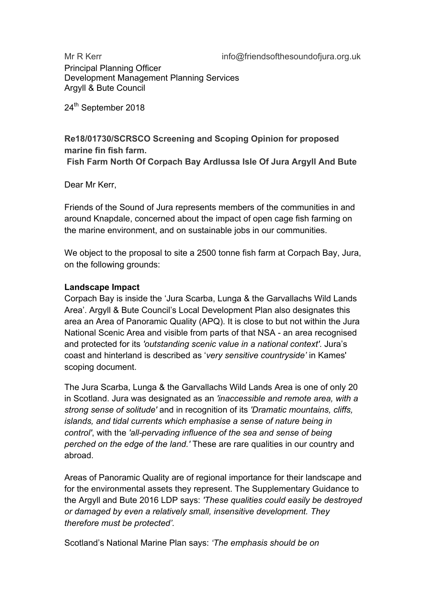Principal Planning Officer Development Management Planning Services Argyll & Bute Council

24<sup>th</sup> September 2018

# **Re18/01730/SCRSCO Screening and Scoping Opinion for proposed marine fin fish farm.**

**Fish Farm North Of Corpach Bay Ardlussa Isle Of Jura Argyll And Bute**

Dear Mr Kerr,

Friends of the Sound of Jura represents members of the communities in and around Knapdale, concerned about the impact of open cage fish farming on the marine environment, and on sustainable jobs in our communities.

We object to the proposal to site a 2500 tonne fish farm at Corpach Bay, Jura, on the following grounds:

## **Landscape Impact**

Corpach Bay is inside the 'Jura Scarba, Lunga & the Garvallachs Wild Lands Area'. Argyll & Bute Council's Local Development Plan also designates this area an Area of Panoramic Quality (APQ). It is close to but not within the Jura National Scenic Area and visible from parts of that NSA - an area recognised and protected for its *'outstanding scenic value in a national context'*. Jura's coast and hinterland is described as '*very sensitive countryside'* in Kames' scoping document.

The Jura Scarba, Lunga & the Garvallachs Wild Lands Area is one of only 20 in Scotland. Jura was designated as an *'inaccessible and remote area, with a strong sense of solitude'* and in recognition of its *'Dramatic mountains, cliffs, islands, and tidal currents which emphasise a sense of nature being in control'*, with the *'all-pervading influence of the sea and sense of being perched on the edge of the land.'* These are rare qualities in our country and abroad.

Areas of Panoramic Quality are of regional importance for their landscape and for the environmental assets they represent. The Supplementary Guidance to the Argyll and Bute 2016 LDP says: *'These qualities could easily be destroyed or damaged by even a relatively small, insensitive development. They therefore must be protected'.*

Scotland's National Marine Plan says: *'The emphasis should be on*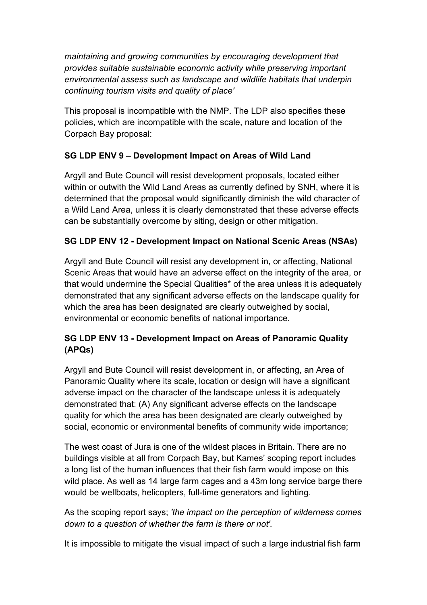*maintaining and growing communities by encouraging development that provides suitable sustainable economic activity while preserving important environmental assess such as landscape and wildlife habitats that underpin continuing tourism visits and quality of place'*

This proposal is incompatible with the NMP. The LDP also specifies these policies, which are incompatible with the scale, nature and location of the Corpach Bay proposal:

## **SG LDP ENV 9 – Development Impact on Areas of Wild Land**

Argyll and Bute Council will resist development proposals, located either within or outwith the Wild Land Areas as currently defined by SNH, where it is determined that the proposal would significantly diminish the wild character of a Wild Land Area, unless it is clearly demonstrated that these adverse effects can be substantially overcome by siting, design or other mitigation.

## **SG LDP ENV 12 - Development Impact on National Scenic Areas (NSAs)**

Argyll and Bute Council will resist any development in, or affecting, National Scenic Areas that would have an adverse effect on the integrity of the area, or that would undermine the Special Qualities\* of the area unless it is adequately demonstrated that any significant adverse effects on the landscape quality for which the area has been designated are clearly outweighed by social, environmental or economic benefits of national importance.

# **SG LDP ENV 13 - Development Impact on Areas of Panoramic Quality (APQs)**

Argyll and Bute Council will resist development in, or affecting, an Area of Panoramic Quality where its scale, location or design will have a significant adverse impact on the character of the landscape unless it is adequately demonstrated that: (A) Any significant adverse effects on the landscape quality for which the area has been designated are clearly outweighed by social, economic or environmental benefits of community wide importance;

The west coast of Jura is one of the wildest places in Britain. There are no buildings visible at all from Corpach Bay, but Kames' scoping report includes a long list of the human influences that their fish farm would impose on this wild place. As well as 14 large farm cages and a 43m long service barge there would be wellboats, helicopters, full-time generators and lighting.

As the scoping report says; *'the impact on the perception of wilderness comes down to a question of whether the farm is there or not'.*

It is impossible to mitigate the visual impact of such a large industrial fish farm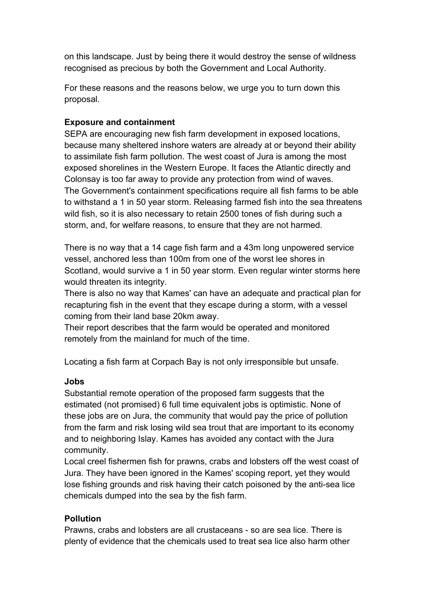on this landscape. Just by being there it would destroy the sense of wildness recognised as precious by both the Government and Local Authority.

For these reasons and the reasons below, we urge you to turn down this proposal.

#### **Exposure and containment**

SEPA are encouraging new fish farm development in exposed locations, because many sheltered inshore waters are already at or beyond their ability to assimilate fish farm pollution. The west coast of Jura is among the most exposed shorelines in the Western Europe. It faces the Atlantic directly and Colonsay is too far away to provide any protection from wind of waves. The Government's containment specifications require all fish farms to be able to withstand a 1 in 50 year storm. Releasing farmed fish into the sea threatens wild fish, so it is also necessary to retain 2500 tones of fish during such a storm, and, for welfare reasons, to ensure that they are not harmed.

There is no way that a 14 cage fish farm and a 43m long unpowered service vessel, anchored less than 100m from one of the worst lee shores in Scotland, would survive a 1 in 50 year storm. Even regular winter storms here would threaten its integrity.

There is also no way that Kames' can have an adequate and practical plan for recapturing fish in the event that they escape during a storm, with a vessel coming from their land base 20km away.

Their report describes that the farm would be operated and monitored remotely from the mainland for much of the time.

Locating a fish farm at Corpach Bay is not only irresponsible but unsafe.

#### **Jobs**

Substantial remote operation of the proposed farm suggests that the estimated (not promised) 6 full time equivalent jobs is optimistic. None of these jobs are on Jura, the community that would pay the price of pollution from the farm and risk losing wild sea trout that are important to its economy and to neighboring Islay. Kames has avoided any contact with the Jura community.

Local creel fishermen fish for prawns, crabs and lobsters off the west coast of Jura. They have been ignored in the Kames' scoping report, yet they would lose fishing grounds and risk having their catch poisoned by the anti-sea lice chemicals dumped into the sea by the fish farm.

### **Pollution**

Prawns, crabs and lobsters are all crustaceans - so are sea lice. There is plenty of evidence that the chemicals used to treat sea lice also harm other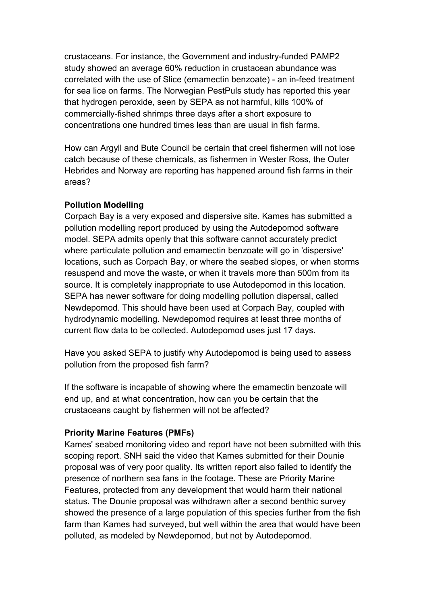crustaceans. For instance, the Government and industry-funded PAMP2 study showed an average 60% reduction in crustacean abundance was correlated with the use of Slice (emamectin benzoate) - an in-feed treatment for sea lice on farms. The Norwegian PestPuls study has reported this year that hydrogen peroxide, seen by SEPA as not harmful, kills 100% of commercially-fished shrimps three days after a short exposure to concentrations one hundred times less than are usual in fish farms.

How can Argyll and Bute Council be certain that creel fishermen will not lose catch because of these chemicals, as fishermen in Wester Ross, the Outer Hebrides and Norway are reporting has happened around fish farms in their areas?

### **Pollution Modelling**

Corpach Bay is a very exposed and dispersive site. Kames has submitted a pollution modelling report produced by using the Autodepomod software model. SEPA admits openly that this software cannot accurately predict where particulate pollution and emamectin benzoate will go in 'dispersive' locations, such as Corpach Bay, or where the seabed slopes, or when storms resuspend and move the waste, or when it travels more than 500m from its source. It is completely inappropriate to use Autodepomod in this location. SEPA has newer software for doing modelling pollution dispersal, called Newdepomod. This should have been used at Corpach Bay, coupled with hydrodynamic modelling. Newdepomod requires at least three months of current flow data to be collected. Autodepomod uses just 17 days.

Have you asked SEPA to justify why Autodepomod is being used to assess pollution from the proposed fish farm?

If the software is incapable of showing where the emamectin benzoate will end up, and at what concentration, how can you be certain that the crustaceans caught by fishermen will not be affected?

### **Priority Marine Features (PMFs)**

Kames' seabed monitoring video and report have not been submitted with this scoping report. SNH said the video that Kames submitted for their Dounie proposal was of very poor quality. Its written report also failed to identify the presence of northern sea fans in the footage. These are Priority Marine Features, protected from any development that would harm their national status. The Dounie proposal was withdrawn after a second benthic survey showed the presence of a large population of this species further from the fish farm than Kames had surveyed, but well within the area that would have been polluted, as modeled by Newdepomod, but not by Autodepomod.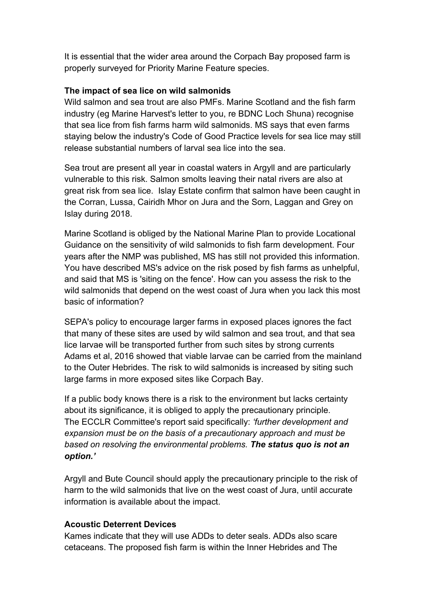It is essential that the wider area around the Corpach Bay proposed farm is properly surveyed for Priority Marine Feature species.

#### **The impact of sea lice on wild salmonids**

Wild salmon and sea trout are also PMFs. Marine Scotland and the fish farm industry (eg Marine Harvest's letter to you, re BDNC Loch Shuna) recognise that sea lice from fish farms harm wild salmonids. MS says that even farms staying below the industry's Code of Good Practice levels for sea lice may still release substantial numbers of larval sea lice into the sea.

Sea trout are present all year in coastal waters in Argyll and are particularly vulnerable to this risk. Salmon smolts leaving their natal rivers are also at great risk from sea lice. Islay Estate confirm that salmon have been caught in the Corran, Lussa, Cairidh Mhor on Jura and the Sorn, Laggan and Grey on Islay during 2018.

Marine Scotland is obliged by the National Marine Plan to provide Locational Guidance on the sensitivity of wild salmonids to fish farm development. Four years after the NMP was published, MS has still not provided this information. You have described MS's advice on the risk posed by fish farms as unhelpful, and said that MS is 'siting on the fence'. How can you assess the risk to the wild salmonids that depend on the west coast of Jura when you lack this most basic of information?

SEPA's policy to encourage larger farms in exposed places ignores the fact that many of these sites are used by wild salmon and sea trout, and that sea lice larvae will be transported further from such sites by strong currents Adams et al, 2016 showed that viable larvae can be carried from the mainland to the Outer Hebrides. The risk to wild salmonids is increased by siting such large farms in more exposed sites like Corpach Bay.

If a public body knows there is a risk to the environment but lacks certainty about its significance, it is obliged to apply the precautionary principle. The ECCLR Committee's report said specifically: *'further development and expansion must be on the basis of a precautionary approach and must be based on resolving the environmental problems. The status quo is not an option.'*

Argyll and Bute Council should apply the precautionary principle to the risk of harm to the wild salmonids that live on the west coast of Jura, until accurate information is available about the impact.

#### **Acoustic Deterrent Devices**

Kames indicate that they will use ADDs to deter seals. ADDs also scare cetaceans. The proposed fish farm is within the Inner Hebrides and The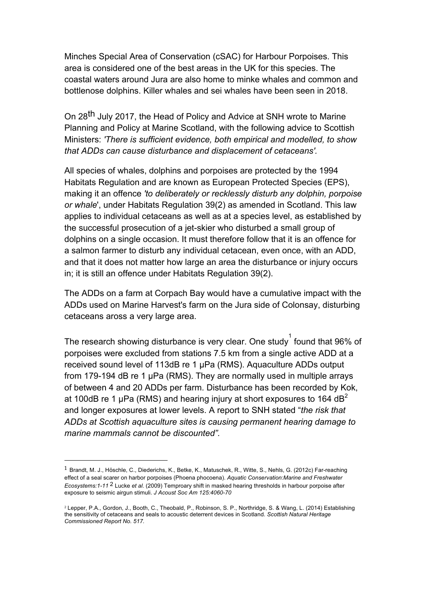Minches Special Area of Conservation (cSAC) for Harbour Porpoises. This area is considered one of the best areas in the UK for this species. The coastal waters around Jura are also home to minke whales and common and bottlenose dolphins. Killer whales and sei whales have been seen in 2018.

On 28th July 2017, the Head of Policy and Advice at SNH wrote to Marine Planning and Policy at Marine Scotland, with the following advice to Scottish Ministers: *'There is sufficient evidence, both empirical and modelled, to show that ADDs can cause disturbance and displacement of cetaceans'.* 

All species of whales, dolphins and porpoises are protected by the 1994 Habitats Regulation and are known as European Protected Species (EPS), making it an offence *'to deliberately or recklessly disturb any dolphin, porpoise or whale*', under Habitats Regulation 39(2) as amended in Scotland. This law applies to individual cetaceans as well as at a species level, as established by the successful prosecution of a jet-skier who disturbed a small group of dolphins on a single occasion. It must therefore follow that it is an offence for a salmon farmer to disturb any individual cetacean, even once, with an ADD, and that it does not matter how large an area the disturbance or injury occurs in; it is still an offence under Habitats Regulation 39(2).

The ADDs on a farm at Corpach Bay would have a cumulative impact with the ADDs used on Marine Harvest's farm on the Jura side of Colonsay, disturbing cetaceans aross a very large area.

The research showing disturbance is very clear. One study  $\int$  found that 96% of porpoises were excluded from stations 7.5 km from a single active ADD at a received sound level of 113dB re 1 µPa (RMS). Aquaculture ADDs output from 179-194 dB re 1 µPa (RMS). They are normally used in multiple arrays of between 4 and 20 ADDs per farm. Disturbance has been recorded by Kok, at 100dB re 1  $\mu$ Pa (RMS) and hearing injury at short exposures to 164 dB<sup>2</sup> and longer exposures at lower levels. A report to SNH stated "*the risk that ADDs at Scottish aquaculture sites is causing permanent hearing damage to marine mammals cannot be discounted".* 

 

<sup>1</sup> Brandt, M. J., Höschle, C., Diederichs, K., Betke, K., Matuschek, R., Witte, S., Nehls, G. (2012c) Far-reaching effect of a seal scarer on harbor porpoises (Phoena phocoena). *Aquatic Conservation:Marine and Freshwater Ecosystems:1-11* 2 Lucke *et al.* (2009) Temproary shift in masked hearing thresholds in harbour porpoise after exposure to seismic airgun stimuli. *J Acoust Soc Am 125:4060-70*

<sup>2</sup> Lepper, P.A., Gordon, J., Booth, C., Theobald, P., Robinson, S. P., Northridge, S. & Wang, L. (2014) Establishing the sensitivity of cetaceans and seals to acoustic deterrent devices in Scotland*. Scottish Natural Heritage Commissioned Report No. 517.*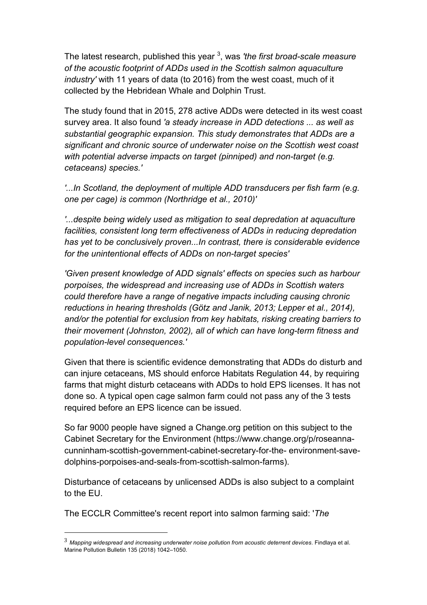The latest research, published this year <sup>3</sup>, was *'the first broad-scale measure of the acoustic footprint of ADDs used in the Scottish salmon aquaculture industry'* with 11 years of data (to 2016) from the west coast, much of it collected by the Hebridean Whale and Dolphin Trust.

The study found that in 2015, 278 active ADDs were detected in its west coast survey area. It also found *'a steady increase in ADD detections ... as well as substantial geographic expansion. This study demonstrates that ADDs are a significant and chronic source of underwater noise on the Scottish west coast with potential adverse impacts on target (pinniped) and non-target (e.g. cetaceans) species.'* 

*'...In Scotland, the deployment of multiple ADD transducers per fish farm (e.g. one per cage) is common (Northridge et al., 2010)'* 

*'...despite being widely used as mitigation to seal depredation at aquaculture facilities, consistent long term effectiveness of ADDs in reducing depredation has yet to be conclusively proven...In contrast, there is considerable evidence for the unintentional effects of ADDs on non-target species'* 

*'Given present knowledge of ADD signals' effects on species such as harbour porpoises, the widespread and increasing use of ADDs in Scottish waters could therefore have a range of negative impacts including causing chronic reductions in hearing thresholds (Götz and Janik, 2013; Lepper et al., 2014), and/or the potential for exclusion from key habitats, risking creating barriers to their movement (Johnston, 2002), all of which can have long-term fitness and population-level consequences.'* 

Given that there is scientific evidence demonstrating that ADDs do disturb and can injure cetaceans, MS should enforce Habitats Regulation 44, by requiring farms that might disturb cetaceans with ADDs to hold EPS licenses. It has not done so. A typical open cage salmon farm could not pass any of the 3 tests required before an EPS licence can be issued.

So far 9000 people have signed a Change.org petition on this subject to the Cabinet Secretary for the Environment (https://www.change.org/p/roseannacunninham-scottish-government-cabinet-secretary-for-the- environment-savedolphins-porpoises-and-seals-from-scottish-salmon-farms).

Disturbance of cetaceans by unlicensed ADDs is also subject to a complaint to the EU.

The ECCLR Committee's recent report into salmon farming said: '*The* 

 

<sup>3</sup> *Mapping widespread and increasing underwater noise pollution from acoustic deterrent devices*. Findlaya et al. Marine Pollution Bulletin 135 (2018) 1042–1050.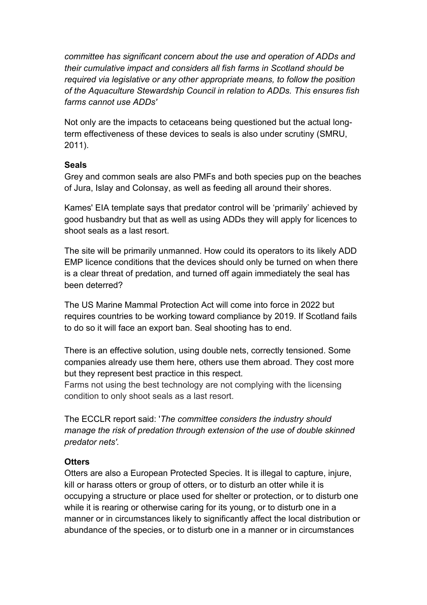*committee has significant concern about the use and operation of ADDs and their cumulative impact and considers all fish farms in Scotland should be required via legislative or any other appropriate means, to follow the position of the Aquaculture Stewardship Council in relation to ADDs. This ensures fish farms cannot use ADDs'* 

Not only are the impacts to cetaceans being questioned but the actual longterm effectiveness of these devices to seals is also under scrutiny (SMRU, 2011).

### **Seals**

Grey and common seals are also PMFs and both species pup on the beaches of Jura, Islay and Colonsay, as well as feeding all around their shores.

Kames' EIA template says that predator control will be 'primarily' achieved by good husbandry but that as well as using ADDs they will apply for licences to shoot seals as a last resort.

The site will be primarily unmanned. How could its operators to its likely ADD EMP licence conditions that the devices should only be turned on when there is a clear threat of predation, and turned off again immediately the seal has been deterred?

The US Marine Mammal Protection Act will come into force in 2022 but requires countries to be working toward compliance by 2019. If Scotland fails to do so it will face an export ban. Seal shooting has to end.

There is an effective solution, using double nets, correctly tensioned. Some companies already use them here, others use them abroad. They cost more but they represent best practice in this respect.

Farms not using the best technology are not complying with the licensing condition to only shoot seals as a last resort.

The ECCLR report said: '*The committee considers the industry should manage the risk of predation through extension of the use of double skinned predator nets'.* 

### **Otters**

Otters are also a European Protected Species. It is illegal to capture, injure, kill or harass otters or group of otters, or to disturb an otter while it is occupying a structure or place used for shelter or protection, or to disturb one while it is rearing or otherwise caring for its young, or to disturb one in a manner or in circumstances likely to significantly affect the local distribution or abundance of the species, or to disturb one in a manner or in circumstances